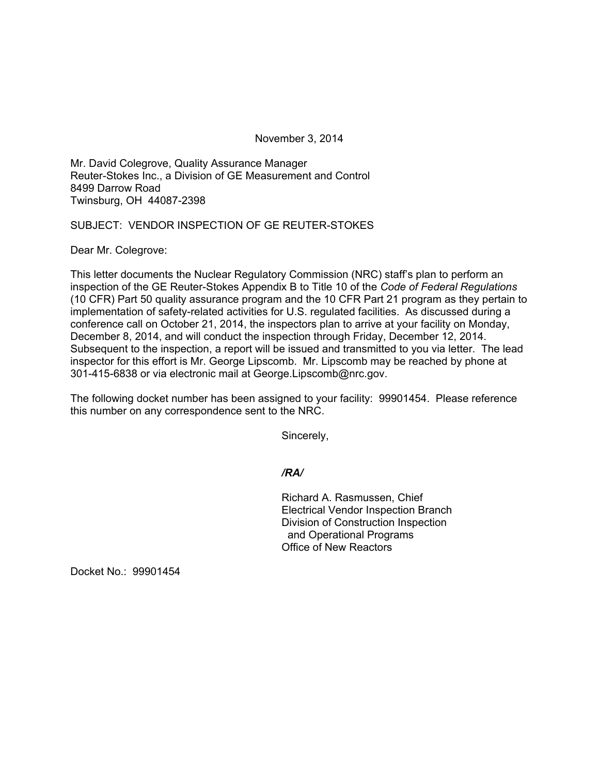November 3, 2014

Mr. David Colegrove, Quality Assurance Manager Reuter-Stokes Inc., a Division of GE Measurement and Control 8499 Darrow Road Twinsburg, OH 44087-2398

## SUBJECT: VENDOR INSPECTION OF GE REUTER-STOKES

Dear Mr. Colegrove:

This letter documents the Nuclear Regulatory Commission (NRC) staff's plan to perform an inspection of the GE Reuter-Stokes Appendix B to Title 10 of the *Code of Federal Regulations* (10 CFR) Part 50 quality assurance program and the 10 CFR Part 21 program as they pertain to implementation of safety-related activities for U.S. regulated facilities. As discussed during a conference call on October 21, 2014, the inspectors plan to arrive at your facility on Monday, December 8, 2014, and will conduct the inspection through Friday, December 12, 2014. Subsequent to the inspection, a report will be issued and transmitted to you via letter. The lead inspector for this effort is Mr. George Lipscomb. Mr. Lipscomb may be reached by phone at 301-415-6838 or via electronic mail at George.Lipscomb@nrc.gov.

The following docket number has been assigned to your facility: 99901454. Please reference this number on any correspondence sent to the NRC.

Sincerely,

## */RA/*

Richard A. Rasmussen, Chief Electrical Vendor Inspection Branch Division of Construction Inspection and Operational Programs Office of New Reactors

Docket No.: 99901454